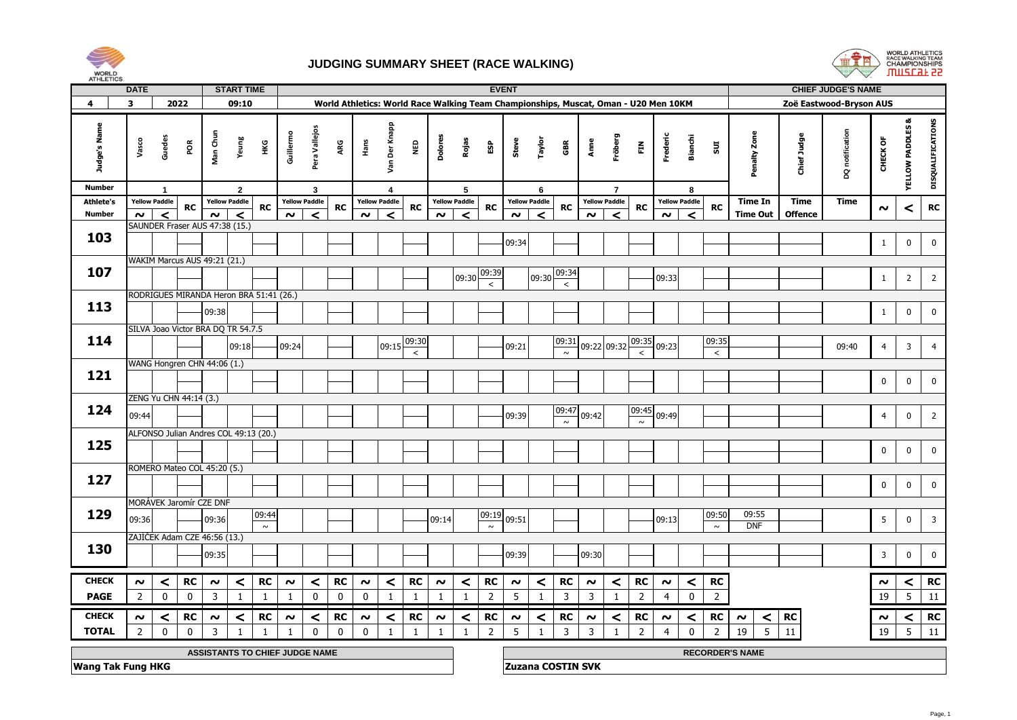

## **JUDGING SUMMARY SHEET (RACE WALKING)**



|                               | <b>DATE</b>                                                                                                                                                                              |                        |                                         |                     | <b>START TIME</b>     |           |                     |                      |                                                                                     |             |                                          |                  |                                   | <b>EVENT</b>           |                   |                                                                      |                      |                 |        |                           |                  |                |                      |                                   |                     |                | <b>CHIEF JUDGE'S NAME</b> |                |                             |                   |
|-------------------------------|------------------------------------------------------------------------------------------------------------------------------------------------------------------------------------------|------------------------|-----------------------------------------|---------------------|-----------------------|-----------|---------------------|----------------------|-------------------------------------------------------------------------------------|-------------|------------------------------------------|------------------|-----------------------------------|------------------------|-------------------|----------------------------------------------------------------------|----------------------|-----------------|--------|---------------------------|------------------|----------------|----------------------|-----------------------------------|---------------------|----------------|---------------------------|----------------|-----------------------------|-------------------|
| 4                             | 3                                                                                                                                                                                        |                        | 2022                                    |                     | 09:10                 |           |                     |                      | World Athletics: World Race Walking Team Championships, Muscat, Oman - U20 Men 10KM |             |                                          |                  |                                   |                        |                   |                                                                      |                      |                 |        |                           |                  |                |                      |                                   |                     |                | Zoë Eastwood-Bryson AUS   |                |                             |                   |
| Judge's Name<br><b>Number</b> | Vasco                                                                                                                                                                                    | Guedes<br>$\mathbf{1}$ | por                                     | Man Chun            | Yeung<br>$\mathbf{2}$ | ŦК        | Guillermo           | Pera Vallejos<br>3   | ARG                                                                                 | Hans        | Van Der Knapp<br>$\overline{\mathbf{4}}$ | <b>Q3M</b>       | Dolores                           | Rojas<br>5             | ESP               | Steve                                                                | Taylor<br>6          | GBR             | Anne   | Fröberg<br>$\overline{7}$ | Ě                | Frederic       | Bianchi<br>8         | 5UI                               | Penalty Zone        | Chief Judge    | DQ notification           | CHECK OF       | <b>YELLOW PADDLES &amp;</b> | DISQUALIFICATIONS |
| <b>Athlete's</b>              |                                                                                                                                                                                          | <b>Yellow Paddle</b>   |                                         |                     | <b>Yellow Paddle</b>  |           |                     | <b>Yellow Paddle</b> |                                                                                     |             | <b>Yellow Paddle</b>                     |                  |                                   | <b>Yellow Paddle</b>   |                   |                                                                      | <b>Yellow Paddle</b> |                 |        | <b>Yellow Paddle</b>      |                  |                | <b>Yellow Paddle</b> |                                   | <b>Time In</b>      | <b>Time</b>    | <b>Time</b>               |                |                             |                   |
| <b>Number</b>                 | $\sim$                                                                                                                                                                                   | $\prec$                | <b>RC</b>                               | $\boldsymbol{\sim}$ | $\prec$               | <b>RC</b> | $\boldsymbol{\sim}$ | ≺                    | RC                                                                                  | $\sim$      | $\prec$                                  | RC               | $\boldsymbol{\sim}$               | ≺                      | <b>RC</b>         | ົ                                                                    | $\prec$              | <b>RC</b>       | $\sim$ | ≺                         | <b>RC</b>        | $\sim$         | ✓                    | <b>RC</b>                         | <b>Time Out</b>     | <b>Offence</b> |                           | $\sim$         | ≺                           | <b>RC</b>         |
|                               |                                                                                                                                                                                          |                        | SAUNDER Fraser AUS 47:38 (15.)          |                     |                       |           |                     |                      |                                                                                     |             |                                          |                  |                                   |                        |                   |                                                                      |                      |                 |        |                           |                  |                |                      |                                   |                     |                |                           |                |                             |                   |
| 103                           |                                                                                                                                                                                          |                        |                                         |                     |                       |           |                     |                      |                                                                                     |             |                                          |                  |                                   |                        |                   | 09:34                                                                |                      |                 |        |                           |                  |                |                      |                                   |                     |                |                           | $\mathbf{1}$   | $\mathbf 0$                 | $\mathbf 0$       |
|                               |                                                                                                                                                                                          |                        |                                         |                     |                       |           |                     |                      |                                                                                     |             |                                          |                  |                                   |                        |                   |                                                                      |                      |                 |        |                           |                  |                |                      |                                   |                     |                |                           |                |                             |                   |
| 107                           |                                                                                                                                                                                          |                        | WAKIM Marcus AUS 49:21 (21.)            |                     |                       |           |                     |                      |                                                                                     |             |                                          |                  |                                   |                        |                   |                                                                      |                      |                 |        |                           |                  |                |                      |                                   |                     |                |                           |                |                             |                   |
|                               |                                                                                                                                                                                          |                        |                                         |                     |                       |           |                     |                      |                                                                                     |             |                                          | 09:30            | 09:39<br>$\overline{\phantom{a}}$ |                        | 09:30             | 09:34<br>$\overline{\phantom{a}}$                                    |                      |                 |        | 09:33                     |                  |                |                      |                                   |                     | $\mathbf{1}$   | $\overline{2}$            | $\overline{2}$ |                             |                   |
|                               |                                                                                                                                                                                          |                        | RODRIGUES MIRANDA Heron BRA 51:41 (26.) |                     |                       |           |                     |                      |                                                                                     |             |                                          |                  |                                   |                        |                   |                                                                      |                      |                 |        |                           |                  |                |                      |                                   |                     |                |                           |                |                             |                   |
| 113                           |                                                                                                                                                                                          |                        |                                         | 09:38               |                       |           |                     |                      |                                                                                     |             |                                          |                  |                                   |                        |                   |                                                                      |                      |                 |        |                           |                  |                |                      |                                   |                     |                |                           | $\mathbf{1}$   | $\mathbf 0$                 | $\pmb{0}$         |
|                               |                                                                                                                                                                                          |                        |                                         |                     |                       |           |                     |                      |                                                                                     |             |                                          |                  |                                   |                        |                   |                                                                      |                      |                 |        |                           |                  |                |                      |                                   |                     |                |                           |                |                             |                   |
|                               |                                                                                                                                                                                          |                        | SILVA Joao Victor BRA DQ TR 54.7.5      |                     |                       |           |                     |                      |                                                                                     |             |                                          |                  |                                   |                        |                   |                                                                      |                      |                 |        |                           |                  |                |                      |                                   |                     |                |                           |                |                             |                   |
| 114                           |                                                                                                                                                                                          |                        |                                         |                     | 09:18                 |           | 09:24               |                      |                                                                                     |             | 09:15                                    | 09:30<br>$\,<\,$ |                                   |                        |                   | 09:21                                                                |                      | 09:31<br>$\sim$ |        | 09:22 09:32               | 09:35<br>$\prec$ | 09:23          |                      | 09:35<br>$\overline{\phantom{a}}$ |                     |                | 09:40                     | $\overline{4}$ | 3                           | $\overline{4}$    |
|                               |                                                                                                                                                                                          |                        | WANG Hongren CHN 44:06 (1.)             |                     |                       |           |                     |                      |                                                                                     |             |                                          |                  |                                   |                        |                   |                                                                      |                      |                 |        |                           |                  |                |                      |                                   |                     |                |                           |                |                             |                   |
| 121                           |                                                                                                                                                                                          |                        |                                         |                     |                       |           |                     |                      |                                                                                     |             |                                          |                  |                                   |                        |                   |                                                                      |                      |                 |        |                           |                  |                |                      |                                   |                     |                |                           |                |                             |                   |
|                               |                                                                                                                                                                                          |                        |                                         |                     |                       |           |                     |                      |                                                                                     |             |                                          |                  |                                   |                        |                   |                                                                      |                      |                 |        |                           |                  |                |                      |                                   |                     |                |                           | $\mathbf 0$    | $\pmb{0}$                   | $\mathbf 0$       |
|                               |                                                                                                                                                                                          |                        | ZENG Yu CHN 44:14 (3.)                  |                     |                       |           |                     |                      |                                                                                     |             |                                          |                  |                                   |                        |                   |                                                                      |                      |                 |        |                           |                  |                |                      |                                   |                     |                |                           |                |                             |                   |
| 124                           | 09:44                                                                                                                                                                                    |                        |                                         |                     |                       |           |                     |                      |                                                                                     |             |                                          |                  |                                   |                        |                   | 09:39                                                                |                      | 09:47           | 09:42  |                           | 09:45            | 09:49          |                      |                                   |                     |                |                           | $\overline{4}$ | $\mathbf 0$                 | $\overline{2}$    |
|                               |                                                                                                                                                                                          |                        | ALFONSO Julian Andres COL 49:13 (20.)   |                     |                       |           |                     |                      |                                                                                     |             |                                          |                  |                                   |                        |                   |                                                                      |                      | $\sim$          |        |                           | $\sim$           |                |                      |                                   |                     |                |                           |                |                             |                   |
| 125                           |                                                                                                                                                                                          |                        |                                         |                     |                       |           |                     |                      |                                                                                     |             |                                          |                  |                                   |                        |                   |                                                                      |                      |                 |        |                           |                  |                |                      |                                   |                     |                |                           |                |                             |                   |
|                               |                                                                                                                                                                                          |                        |                                         |                     |                       |           |                     |                      |                                                                                     |             |                                          |                  |                                   |                        |                   |                                                                      |                      |                 |        |                           |                  |                |                      |                                   |                     |                |                           | $\mathbf 0$    | $\mathbf 0$                 | $\pmb{0}$         |
|                               |                                                                                                                                                                                          |                        | ROMERO Mateo COL 45:20 (5.)             |                     |                       |           |                     |                      |                                                                                     |             |                                          |                  |                                   |                        |                   |                                                                      |                      |                 |        |                           |                  |                |                      |                                   |                     |                |                           |                |                             |                   |
| 127                           |                                                                                                                                                                                          |                        |                                         |                     |                       |           |                     |                      |                                                                                     |             |                                          |                  |                                   |                        |                   |                                                                      |                      |                 |        |                           |                  |                |                      |                                   |                     |                |                           | $\mathbf 0$    | $\pmb{0}$                   | $\mathbf 0$       |
|                               |                                                                                                                                                                                          |                        |                                         |                     |                       |           |                     |                      |                                                                                     |             |                                          |                  |                                   |                        |                   |                                                                      |                      |                 |        |                           |                  |                |                      |                                   |                     |                |                           |                |                             |                   |
| 129                           |                                                                                                                                                                                          |                        | MORÁVEK Jaromír CZE DNF                 |                     |                       | 09:44     |                     |                      |                                                                                     |             |                                          |                  |                                   |                        | 09:19             |                                                                      |                      |                 |        |                           |                  |                |                      | 09:50                             | 09:55               |                |                           |                |                             |                   |
|                               | 09:36                                                                                                                                                                                    |                        |                                         | 09:36               |                       | $\sim$    |                     |                      |                                                                                     |             |                                          |                  | 09:14                             |                        | $\sim$            | 09:51                                                                |                      |                 |        |                           |                  | 09:13          |                      | $\sim$                            | <b>DNF</b>          |                |                           | 5              | $\mathbf 0$                 | $\overline{3}$    |
|                               |                                                                                                                                                                                          |                        | ZAJÍČEK Adam CZE 46:56 (13.)            |                     |                       |           |                     |                      |                                                                                     |             |                                          |                  |                                   |                        |                   |                                                                      |                      |                 |        |                           |                  |                |                      |                                   |                     |                |                           |                |                             |                   |
| 130                           |                                                                                                                                                                                          |                        |                                         | 09:35               |                       |           |                     |                      |                                                                                     |             |                                          |                  |                                   |                        |                   | 09:39                                                                |                      |                 | 09:30  |                           |                  |                |                      |                                   |                     |                |                           | 3              | $\mathbf 0$                 | $\mathbf 0$       |
|                               |                                                                                                                                                                                          |                        |                                         |                     |                       |           |                     |                      |                                                                                     |             |                                          |                  |                                   |                        |                   |                                                                      |                      |                 |        |                           |                  |                |                      |                                   |                     |                |                           |                |                             |                   |
| <b>CHECK</b>                  | $\sim$                                                                                                                                                                                   | $\,<\,$                | RC                                      | $\sim$              | $\prec$               | RC        | $\boldsymbol{\sim}$ | ≺                    | <b>RC</b>                                                                           | $\sim$      | ≺                                        | RC               | $\boldsymbol{\sim}$               | $\,<$                  | RC                | $\sim$                                                               | $\,<$                | RC              | $\sim$ | $\,<$                     | RC               | $\sim$         | $\prec$              | RC                                |                     |                |                           | $\sim$         | ≺                           | RC                |
| <b>PAGE</b>                   | $\overline{2}$                                                                                                                                                                           | $\pmb{0}$              | $\mathbf 0$                             | $\overline{3}$      | $\mathbf{1}$          | 1         | 1                   | 0                    | $\mathbf 0$                                                                         | $\mathbf 0$ | $\mathbf{1}$                             | 1                | 1                                 | 1                      | $\overline{2}$    | 5                                                                    | $\mathbf{1}$         | 3               | 3      | $\mathbf{1}$              | $\overline{2}$   | $\overline{4}$ | $\pmb{0}$            | $\overline{2}$                    |                     |                |                           | 19             | 5                           | 11                |
| <b>CHECK</b>                  | $\sim$                                                                                                                                                                                   |                        | RC                                      | $\boldsymbol{\sim}$ | ≺                     | <b>RC</b> | $\boldsymbol{\sim}$ | <                    | RC                                                                                  | $\sim$      | ≺                                        | RC               | $\boldsymbol{\sim}$               |                        | RC                | $\sim$                                                               |                      | <b>RC</b>       | $\sim$ | $\prec$                   | RC               | ົ              |                      | RC                                | $\boldsymbol{\sim}$ | RC             |                           | $\sim$         |                             | RC                |
| <b>TOTAL</b>                  | <<br>$\overline{2}$<br>$\pmb{0}$<br>$\overline{3}$<br>$\mathbf 0$<br>$\mathbf 0$<br>$\mathbf 0$<br>$\mathbf{1}$<br>$\mathbf 0$<br>1<br>$\mathbf{1}$<br>$\mathbf{1}$<br>$\mathbf{1}$<br>1 |                        |                                         |                     |                       |           |                     |                      |                                                                                     |             |                                          | <                | $\overline{2}$                    | 5                      | <<br>$\mathbf{1}$ | $\overline{3}$                                                       |                      |                 |        |                           | ≺                |                | $\prec$<br>5<br>19   | 11                                |                     |                | <<br>5                    | 11             |                             |                   |
|                               |                                                                                                                                                                                          |                        |                                         |                     |                       |           |                     |                      |                                                                                     |             |                                          |                  |                                   | $\mathbf{1}$           |                   | 3<br>$\overline{2}$<br>$\mathbf 0$<br>$\overline{4}$<br>2<br>19<br>1 |                      |                 |        |                           |                  |                |                      |                                   |                     |                |                           |                |                             |                   |
|                               | ASSISTANTS TO CHIEF JUDGE NAME                                                                                                                                                           |                        |                                         |                     |                       |           |                     |                      |                                                                                     |             |                                          |                  |                                   | <b>RECORDER'S NAME</b> |                   |                                                                      |                      |                 |        |                           |                  |                |                      |                                   |                     |                |                           |                |                             |                   |
|                               | <b>Wang Tak Fung HKG</b>                                                                                                                                                                 |                        |                                         |                     |                       |           |                     |                      |                                                                                     |             |                                          |                  |                                   |                        |                   | <b>Zuzana COSTIN SVK</b>                                             |                      |                 |        |                           |                  |                |                      |                                   |                     |                |                           |                |                             |                   |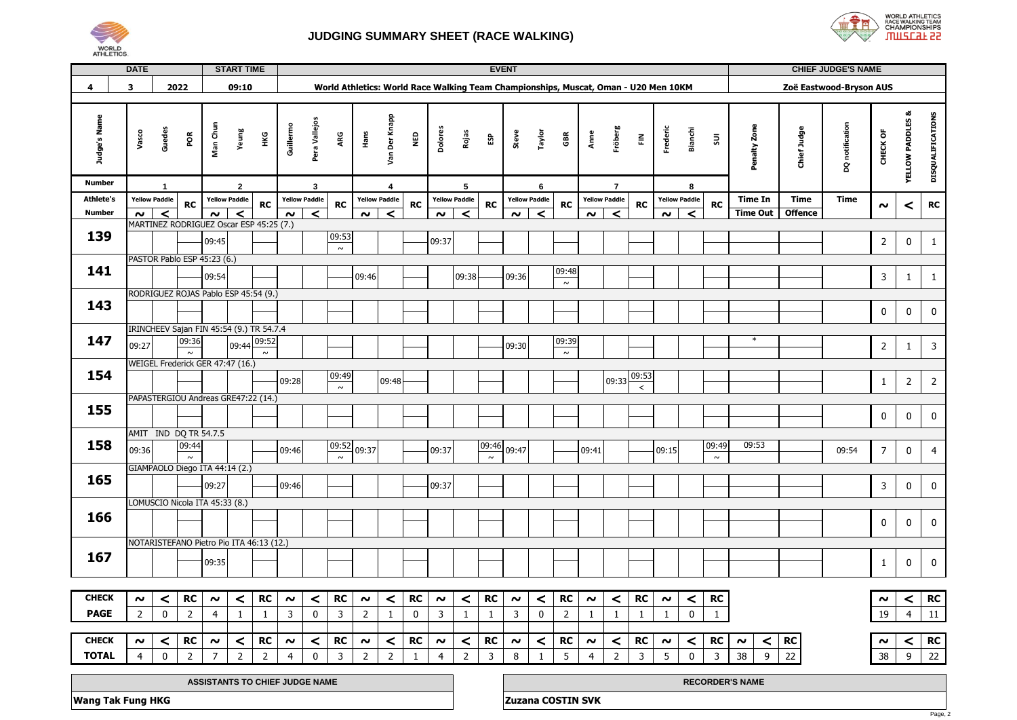



|                  | <b>DATE</b>                    |                                       |                                            |                | <b>START TIME</b> |                | <b>EVENT</b>                                                                        |                      |           |                         |                      |              |                     |                |                |                     |                      |                 |                     |                      | <b>CHIEF JUDGE'S NAME</b> |              |                         |           |                        |                |                 |                     |                            |                         |
|------------------|--------------------------------|---------------------------------------|--------------------------------------------|----------------|-------------------|----------------|-------------------------------------------------------------------------------------|----------------------|-----------|-------------------------|----------------------|--------------|---------------------|----------------|----------------|---------------------|----------------------|-----------------|---------------------|----------------------|---------------------------|--------------|-------------------------|-----------|------------------------|----------------|-----------------|---------------------|----------------------------|-------------------------|
| 4                | 3                              |                                       | 2022                                       |                | 09:10             |                | World Athletics: World Race Walking Team Championships, Muscat, Oman - U20 Men 10KM |                      |           |                         |                      |              |                     |                |                |                     |                      |                 |                     |                      |                           |              | Zoë Eastwood-Bryson AUS |           |                        |                |                 |                     |                            |                         |
|                  |                                |                                       |                                            |                |                   |                |                                                                                     |                      |           |                         |                      |              |                     |                |                |                     |                      |                 |                     |                      |                           |              |                         |           |                        |                |                 |                     |                            |                         |
| Judge's Name     | Vasco                          | Guedes                                | POR                                        | Man Chun       | Yeung             | нĸG            | Guillermo                                                                           | Pera Vallejos        | ARG       | Hans                    | Van Der Knapp        | Qav          | <b>Dolores</b>      | Rojas          | ĒΡ             | Steve               | Taylor               | GBR             | Anne                | Fröberg              | 즢                         | Frederic     | Bianchi                 | $\Xi$     | Penalty Zone           | Chief Judge    | DQ notification | CHECK OF            | œ<br><b>YELLOW PADDLES</b> | DISQUALIFICATIONS       |
| Number           |                                | 1                                     |                                            |                | $\mathbf{2}$      |                |                                                                                     | 3                    |           | $\overline{\mathbf{4}}$ |                      |              |                     | 5              |                |                     | 6                    |                 |                     | $\overline{7}$       |                           |              | 8                       |           |                        |                |                 |                     |                            |                         |
| <b>Athlete's</b> |                                | <b>Yellow Paddle</b>                  | <b>RC</b>                                  |                | Yellow Paddle     | <b>RC</b>      |                                                                                     | <b>Yellow Paddle</b> | <b>RC</b> |                         | <b>Yellow Paddle</b> |              |                     | Yellow Paddle  | <b>RC</b>      |                     | <b>Yellow Paddle</b> | <b>RC</b>       |                     | <b>Yellow Paddle</b> | <b>RC</b>                 |              | Yellow Paddle           | <b>RC</b> | <b>Time In</b>         | <b>Time</b>    | <b>Time</b>     | $\boldsymbol{\sim}$ |                            | <b>RC</b>               |
| <b>Number</b>    | $\sim$                         | $\prec$                               |                                            | $\sim$         | $\prec$           |                | $\sim$                                                                              | $\prec$              |           | $\sim$                  | $\prec$              | RC           | $\boldsymbol{\sim}$ | $\prec$        |                | $\sim$              | $\prec$              |                 | $\sim$              | $\prec$              |                           | $\sim$       | $\prec$                 |           | <b>Time Out</b>        | <b>Offence</b> |                 |                     | <                          |                         |
|                  |                                |                                       | MARTINEZ RODRIGUEZ Oscar ESP 45:25 (7.)    |                |                   |                |                                                                                     |                      |           |                         |                      |              |                     |                |                |                     |                      |                 |                     |                      |                           |              |                         |           |                        |                |                 |                     |                            |                         |
| 139              |                                |                                       |                                            | 09:45          |                   |                |                                                                                     |                      | 09:53     |                         |                      |              | 09:37               |                |                |                     |                      |                 |                     |                      |                           |              |                         |           |                        |                |                 | $\overline{2}$      | $\pmb{0}$                  | $\mathbf{1}$            |
|                  |                                | $\sim$<br>PASTOR Pablo ESP 45:23 (6.) |                                            |                |                   |                |                                                                                     |                      |           |                         |                      |              |                     |                |                |                     |                      |                 |                     |                      |                           |              |                         |           |                        |                |                 |                     |                            |                         |
| 141              |                                |                                       | 09:54<br>09:46                             |                |                   |                |                                                                                     |                      |           |                         |                      |              |                     | 09:38          |                | 09:36               |                      | 09:48           |                     |                      |                           |              |                         |           |                        |                |                 | 3                   | $\mathbf{1}$               | $\mathbf{1}$            |
|                  |                                | RODRIGUEZ ROJAS Pablo ESP 45:54 (9.)  |                                            |                |                   |                |                                                                                     |                      |           |                         |                      |              |                     |                |                |                     |                      | $\sim$          |                     |                      |                           |              |                         |           |                        |                |                 |                     |                            |                         |
| 143              |                                |                                       |                                            |                |                   |                |                                                                                     |                      |           |                         |                      |              |                     |                |                |                     |                      |                 |                     |                      |                           |              |                         |           |                        |                |                 |                     |                            |                         |
|                  |                                |                                       |                                            |                |                   |                |                                                                                     |                      |           |                         |                      |              |                     |                |                |                     |                      |                 |                     |                      |                           |              |                         |           |                        |                |                 | 0                   | 0                          | $\mathbf 0$             |
|                  |                                |                                       | IRINCHEEV Sajan FIN 45:54 (9.) TR 54.7.4   |                |                   |                |                                                                                     |                      |           |                         |                      |              |                     |                |                |                     |                      |                 |                     |                      |                           |              |                         |           |                        |                |                 |                     |                            |                         |
| 147              | 09:27                          |                                       | 09:36                                      |                | 09:44             | 09:52          |                                                                                     |                      |           |                         |                      |              |                     |                |                | 09:30               |                      | 09:39<br>$\sim$ |                     |                      |                           |              |                         |           | $\ast$                 |                |                 | $\overline{2}$      | $\mathbf{1}$               | $\overline{\mathbf{3}}$ |
|                  |                                |                                       | $\sim$<br>WEIGEL Frederick GER 47:47 (16.) |                |                   | $\sim$         |                                                                                     |                      |           |                         |                      |              |                     |                |                |                     |                      |                 |                     |                      |                           |              |                         |           |                        |                |                 |                     |                            |                         |
| 154              |                                |                                       |                                            |                |                   |                | 09:28                                                                               |                      | 09:49     |                         | 09:48                |              |                     |                |                |                     |                      |                 |                     | 09:33                | 09:53                     |              |                         |           |                        |                |                 | $\mathbf{1}$        | $\overline{2}$             | $\overline{2}$          |
|                  |                                |                                       |                                            |                |                   |                |                                                                                     |                      | $\sim$    |                         |                      |              |                     |                |                |                     |                      |                 |                     |                      | $\overline{\phantom{a}}$  |              |                         |           |                        |                |                 |                     |                            |                         |
| 155              |                                |                                       | PAPASTERGIOU Andreas GRE47:22 (14.)        |                |                   |                |                                                                                     |                      |           |                         |                      |              |                     |                |                |                     |                      |                 |                     |                      |                           |              |                         |           |                        |                |                 |                     |                            |                         |
|                  |                                |                                       |                                            |                |                   |                |                                                                                     |                      |           |                         |                      |              |                     |                |                |                     |                      |                 |                     |                      |                           |              |                         |           |                        |                |                 | $\mathbf 0$         | 0                          | $\mathbf 0$             |
|                  |                                |                                       | AMIT IND DQ TR 54.7.5                      |                |                   |                |                                                                                     |                      |           |                         |                      |              |                     |                |                |                     |                      |                 |                     |                      |                           |              |                         |           |                        |                |                 |                     |                            |                         |
| 158              | 09:36                          |                                       | 09:44                                      |                |                   |                | 09:46                                                                               |                      | 09:52     | 09:37                   |                      |              | 09:37               |                | 09:46          | 09:47               |                      |                 | 09:41               |                      |                           | 09:15        |                         | 09:49     | 09:53                  |                | 09:54           | $\overline{7}$      | 0                          | $\overline{4}$          |
|                  |                                |                                       | GIAMPAOLO Diego ITA 44:14 (2.)             |                |                   |                |                                                                                     |                      | $\sim$    |                         |                      |              |                     |                |                |                     |                      |                 |                     |                      |                           |              |                         | $\sim$    |                        |                |                 |                     |                            |                         |
| 165              |                                |                                       |                                            |                |                   |                |                                                                                     |                      |           |                         |                      |              |                     |                |                |                     |                      |                 |                     |                      |                           |              |                         |           |                        |                |                 |                     |                            |                         |
|                  |                                |                                       |                                            | 09:27          |                   |                | 09:46                                                                               |                      |           |                         |                      |              | 09:37               |                |                |                     |                      |                 |                     |                      |                           |              |                         |           |                        |                |                 | 3                   | 0                          | $\mathbf 0$             |
|                  |                                |                                       | LOMUSCIO Nicola ITA 45:33 (8.)             |                |                   |                |                                                                                     |                      |           |                         |                      |              |                     |                |                |                     |                      |                 |                     |                      |                           |              |                         |           |                        |                |                 |                     |                            |                         |
| 166              |                                |                                       |                                            |                |                   |                |                                                                                     |                      |           |                         |                      |              |                     |                |                |                     |                      |                 |                     |                      |                           |              |                         |           |                        |                |                 | 0                   | $\mathbf 0$                | $\mathbf 0$             |
|                  |                                |                                       | NOTARISTEFANO Pietro Pio ITA 46:13 (12.)   |                |                   |                |                                                                                     |                      |           |                         |                      |              |                     |                |                |                     |                      |                 |                     |                      |                           |              |                         |           |                        |                |                 |                     |                            |                         |
| 167              |                                |                                       |                                            |                |                   |                |                                                                                     |                      |           |                         |                      |              |                     |                |                |                     |                      |                 |                     |                      |                           |              |                         |           |                        |                |                 |                     |                            |                         |
|                  |                                |                                       |                                            | 09:35          |                   |                |                                                                                     |                      |           |                         |                      |              |                     |                |                |                     |                      |                 |                     |                      |                           |              |                         |           |                        |                |                 | $\mathbf{1}$        | 0                          | $\mathbf 0$             |
|                  |                                |                                       |                                            |                |                   |                |                                                                                     |                      |           |                         |                      |              |                     |                |                |                     |                      |                 |                     |                      |                           |              |                         |           |                        |                |                 |                     |                            |                         |
| <b>CHECK</b>     | $\boldsymbol{\sim}$            | $\prec$                               | <b>RC</b>                                  | $\sim$         | $\prec$           | <b>RC</b>      | $\boldsymbol{\sim}$                                                                 | $\prec$              | <b>RC</b> | $\boldsymbol{\sim}$     | $\,<$                | <b>RC</b>    | $\sim$              | $\prec$        | <b>RC</b>      | $\boldsymbol{\sim}$ | $\,<$                | <b>RC</b>       | $\boldsymbol{\sim}$ | $\,<$                | <b>RC</b>                 | $\sim$       | $\prec$                 | RC        |                        |                |                 | $\sim$              | ≺                          | RC                      |
| <b>PAGE</b>      | $\overline{2}$                 | $\pmb{0}$                             | $\overline{2}$                             | $\overline{4}$ | 1                 | 1              | $\overline{3}$                                                                      | $\pmb{0}$            | 3         | $\overline{2}$          | $\mathbf{1}$         | $\mathbf 0$  | 3                   | $\mathbf{1}$   | 1              | $\overline{3}$      | $\pmb{0}$            | $\overline{2}$  | $\mathbf{1}$        | $\mathbf{1}$         | 1                         | $\mathbf{1}$ | $\pmb{0}$               | 1         |                        |                |                 | 19                  | $\overline{4}$             | 11                      |
|                  |                                |                                       |                                            |                |                   |                |                                                                                     |                      |           |                         |                      |              |                     |                |                |                     |                      |                 |                     |                      |                           |              |                         |           |                        |                |                 |                     |                            |                         |
| <b>CHECK</b>     | $\sim$                         | ≺                                     | <b>RC</b>                                  | $\sim$         | ≺                 | <b>RC</b>      | $\sim$                                                                              | ≺                    | <b>RC</b> | $\sim$                  | <                    | <b>RC</b>    | $\sim$              | ≺              | RC             | $\sim$              | ≺                    | <b>RC</b>       | $\sim$              | $\prec$              | <b>RC</b>                 | $\sim$       | <                       | <b>RC</b> | ≺<br>$\sim$            | RC             |                 | $\sim$              | <                          | RC                      |
| <b>TOTAL</b>     | $\overline{4}$                 | 0                                     | $\overline{2}$                             | $\overline{7}$ | $\overline{2}$    | $\overline{2}$ | $\overline{4}$                                                                      | 0                    | 3         | $\overline{2}$          | $\overline{2}$       | $\mathbf{1}$ | 4                   | $\overline{2}$ | $\overline{3}$ | 8                   | 1                    | 5               | $\overline{4}$      | $\overline{2}$       | $\overline{3}$            | 5            | $\mathbf 0$             | 3         | 9<br>38                | 22             |                 | 38                  | 9                          | 22                      |
|                  | ASSISTANTS TO CHIEF JUDGE NAME |                                       |                                            |                |                   |                |                                                                                     |                      |           |                         |                      |              |                     |                |                |                     |                      |                 |                     |                      |                           |              |                         |           |                        |                |                 |                     |                            |                         |
|                  |                                |                                       |                                            |                |                   |                |                                                                                     |                      |           |                         |                      |              |                     |                |                |                     |                      |                 |                     |                      |                           |              |                         |           | <b>RECORDER'S NAME</b> |                |                 |                     |                            |                         |

**Wang Tak Fung HKG Zuzana COSTIN SVK**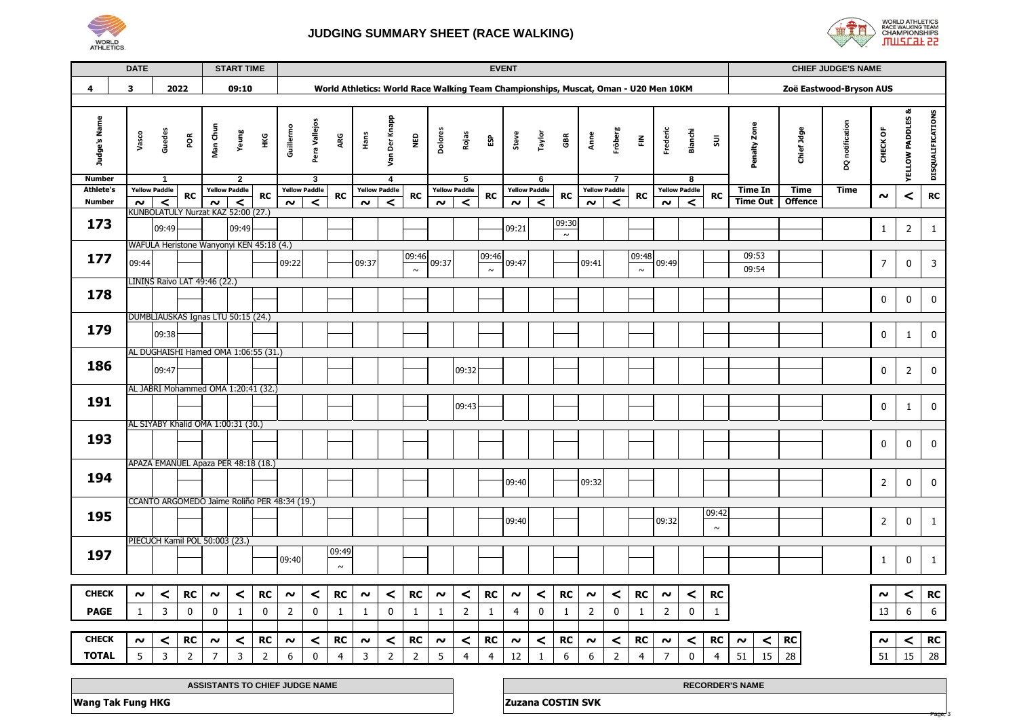

## **JUDGING SUMMARY SHEET (RACE WALKING)**



Page, 3

|                                   | <b>DATE</b> |                                              |                |                     | <b>START TIME</b>                      |                |                     |                           |                                                                                     |                     |                           |                |                     |                           |                | <b>EVENT</b>        |                                         |                 |                     |                                                 |                |                          |                                                 |                 |                   |                | <b>CHIEF JUDGE'S NAME</b> |                     |                             |                   |
|-----------------------------------|-------------|----------------------------------------------|----------------|---------------------|----------------------------------------|----------------|---------------------|---------------------------|-------------------------------------------------------------------------------------|---------------------|---------------------------|----------------|---------------------|---------------------------|----------------|---------------------|-----------------------------------------|-----------------|---------------------|-------------------------------------------------|----------------|--------------------------|-------------------------------------------------|-----------------|-------------------|----------------|---------------------------|---------------------|-----------------------------|-------------------|
| 4                                 | 3           |                                              | 2022           |                     | 09:10                                  |                |                     |                           | World Athletics: World Race Walking Team Championships, Muscat, Oman - U20 Men 10KM |                     |                           |                |                     |                           |                |                     |                                         |                 |                     |                                                 |                |                          |                                                 |                 |                   |                | Zoë Eastwood-Bryson AUS   |                     |                             |                   |
|                                   |             |                                              |                |                     |                                        |                |                     |                           |                                                                                     |                     |                           |                |                     |                           |                |                     |                                         |                 |                     |                                                 |                |                          |                                                 |                 |                   |                |                           |                     |                             |                   |
| Judge's Name                      | Vasco       | Guedes                                       | POR            | Man Chun            | Yeung                                  | НKG            | Guillermo           | Pera Vallejos             | ARG                                                                                 | Hans                | Der Knapp<br>S<br>S       | NED            | Dolores             | Rojas                     | ΕSΡ            | Steve               | Taylor                                  | GBR             | Anne                | Fröberg                                         | 룬              | Frederic                 | <b>Bianchi</b>                                  | $\Xi$           | Penalty Zone      | Chief Jdge     | DQ notification           | CHECK OF            | <b>YELLOW PADDLES &amp;</b> | DISQUALIFICATIONS |
| <b>Number</b><br><b>Athlete's</b> |             | 1<br><b>Yellow Paddle</b>                    |                |                     | $\overline{2}$<br><b>Yellow Paddle</b> |                |                     | 3<br><b>Yellow Paddle</b> |                                                                                     |                     | 4<br><b>Yellow Paddle</b> |                |                     | 5<br><b>Yellow Paddle</b> |                |                     | $6\overline{6}$<br><b>Yellow Paddle</b> |                 |                     | $\overline{\mathbf{7}}$<br><b>Yellow Paddle</b> |                |                          | $\overline{\mathbf{8}}$<br><b>Yellow Paddle</b> |                 | <b>Time In</b>    | <b>Time</b>    | <b>Time</b>               |                     |                             |                   |
| <b>Number</b>                     | $\sim$      | $\prec$                                      | <b>RC</b>      | $\sim$              | $\,<$                                  | <b>RC</b>      | $\boldsymbol{\sim}$ | ≺                         | <b>RC</b>                                                                           | $\boldsymbol{\sim}$ | $\prec$                   | <b>RC</b>      | $\boldsymbol{\sim}$ | ≺                         | <b>RC</b>      | $\sim$              | $\prec$                                 | <b>RC</b>       | $\sim$              | $\prec$                                         | <b>RC</b>      | $\sim$                   | ≺                                               | <b>RC</b>       | <b>Time Out</b>   | <b>Offence</b> |                           | $\sim$              | $\,<\,$                     | ${\sf RC}$        |
|                                   |             | KUNBOLATULY Nurzat KAZ 52:00 (27.)           |                |                     |                                        |                |                     |                           |                                                                                     |                     |                           |                |                     |                           |                |                     |                                         |                 |                     |                                                 |                |                          |                                                 |                 |                   |                |                           |                     |                             |                   |
| 173                               |             | 09:49                                        |                |                     | 09:49                                  |                |                     |                           |                                                                                     |                     |                           |                |                     |                           |                | 09:21               |                                         | 09:30<br>$\sim$ |                     |                                                 |                |                          |                                                 |                 |                   |                |                           | $\mathbf{1}$        | $\overline{2}$              | $\mathbf{1}$      |
|                                   |             | WAFULA Heristone Wanyonyi KEN 45:18 (4.)     |                |                     |                                        |                |                     |                           |                                                                                     |                     |                           |                |                     |                           |                |                     |                                         |                 |                     |                                                 |                |                          |                                                 |                 |                   |                |                           |                     |                             |                   |
| 177                               | 09:44       |                                              |                |                     |                                        |                | 09:22               |                           |                                                                                     | 09:37               |                           | 09:46          | 09:37               |                           | 09:46          | 09:47               |                                         |                 | 09:41               |                                                 | 09:48          | 09:49                    |                                                 |                 | 09:53             |                |                           | $\overline{7}$      | $\mathbf 0$                 | 3                 |
|                                   |             |                                              |                |                     |                                        |                |                     |                           |                                                                                     |                     |                           | $\sim$         |                     |                           | $\sim$         |                     |                                         |                 |                     |                                                 | $\sim$         |                          |                                                 |                 | 09:54             |                |                           |                     |                             |                   |
| 178                               |             | LININS Raivo LAT 49:46 (22.)                 |                |                     |                                        |                |                     |                           |                                                                                     |                     |                           |                |                     |                           |                |                     |                                         |                 |                     |                                                 |                |                          |                                                 |                 |                   |                |                           |                     |                             |                   |
|                                   |             |                                              |                |                     |                                        |                |                     |                           |                                                                                     |                     |                           |                |                     |                           |                |                     |                                         |                 |                     |                                                 |                |                          |                                                 |                 |                   |                |                           | $\mathbf 0$         | $\mathbf 0$                 | $\pmb{0}$         |
|                                   |             | DUMBLIAUSKAS Ignas LTU 50:15 (24.)           |                |                     |                                        |                |                     |                           |                                                                                     |                     |                           |                |                     |                           |                |                     |                                         |                 |                     |                                                 |                |                          |                                                 |                 |                   |                |                           |                     |                             |                   |
| 179                               |             | 09:38                                        |                |                     |                                        |                |                     |                           |                                                                                     |                     |                           |                |                     |                           |                |                     |                                         |                 |                     |                                                 |                |                          |                                                 |                 |                   |                |                           | $\pmb{0}$           | $\mathbf{1}$                | $\pmb{0}$         |
|                                   |             | AL DUGHAISHI Hamed OMA 1:06:55 (31.)         |                |                     |                                        |                |                     |                           |                                                                                     |                     |                           |                |                     |                           |                |                     |                                         |                 |                     |                                                 |                |                          |                                                 |                 |                   |                |                           |                     |                             |                   |
| 186                               |             | 09:47                                        |                |                     |                                        |                |                     |                           |                                                                                     |                     |                           |                |                     | 09:32                     |                |                     |                                         |                 |                     |                                                 |                |                          |                                                 |                 |                   |                |                           | $\mathbf 0$         | $\overline{2}$              | $\mathbf 0$       |
|                                   |             | AL JABRI Mohammed OMA 1:20:41 (32.)          |                |                     |                                        |                |                     |                           |                                                                                     |                     |                           |                |                     |                           |                |                     |                                         |                 |                     |                                                 |                |                          |                                                 |                 |                   |                |                           |                     |                             |                   |
| 191                               |             |                                              |                |                     |                                        |                |                     |                           |                                                                                     |                     |                           |                |                     |                           |                |                     |                                         |                 |                     |                                                 |                |                          |                                                 |                 |                   |                |                           |                     |                             |                   |
|                                   |             |                                              |                |                     |                                        |                |                     |                           |                                                                                     |                     |                           |                |                     | 09:43                     |                |                     |                                         |                 |                     |                                                 |                |                          |                                                 |                 |                   |                |                           | $\mathbf 0$         | $\mathbf{1}$                | $\mathbf 0$       |
|                                   |             | AL SIYABY Khalid OMA 1:00:31 (30.)           |                |                     |                                        |                |                     |                           |                                                                                     |                     |                           |                |                     |                           |                |                     |                                         |                 |                     |                                                 |                |                          |                                                 |                 |                   |                |                           |                     |                             |                   |
| 193                               |             |                                              |                |                     |                                        |                |                     |                           |                                                                                     |                     |                           |                |                     |                           |                |                     |                                         |                 |                     |                                                 |                |                          |                                                 |                 |                   |                |                           | 0                   | 0                           | $\mathbf 0$       |
|                                   |             | APAZA EMANUEL Apaza PER 48:18 (18.)          |                |                     |                                        |                |                     |                           |                                                                                     |                     |                           |                |                     |                           |                |                     |                                         |                 |                     |                                                 |                |                          |                                                 |                 |                   |                |                           |                     |                             |                   |
| 194                               |             |                                              |                |                     |                                        |                |                     |                           |                                                                                     |                     |                           |                |                     |                           |                | 09:40               |                                         |                 | 09:32               |                                                 |                |                          |                                                 |                 |                   |                |                           | $\overline{2}$      | $\mathbf 0$                 | $\mathbf 0$       |
|                                   |             |                                              |                |                     |                                        |                |                     |                           |                                                                                     |                     |                           |                |                     |                           |                |                     |                                         |                 |                     |                                                 |                |                          |                                                 |                 |                   |                |                           |                     |                             |                   |
|                                   |             | CCANTO ARGOMEDO Jaime Roliño PER 48:34 (19.) |                |                     |                                        |                |                     |                           |                                                                                     |                     |                           |                |                     |                           |                |                     |                                         |                 |                     |                                                 |                |                          |                                                 |                 |                   |                |                           |                     |                             |                   |
| 195                               |             |                                              |                |                     |                                        |                |                     |                           |                                                                                     |                     |                           |                |                     |                           |                | 09:40               |                                         |                 |                     |                                                 |                | 09:32                    |                                                 | 09:42<br>$\sim$ |                   |                |                           | $\overline{2}$      | 0                           | $\mathbf{1}$      |
|                                   |             | PIECUCH Kamil POL 50:003 (23.)               |                |                     |                                        |                |                     |                           |                                                                                     |                     |                           |                |                     |                           |                |                     |                                         |                 |                     |                                                 |                |                          |                                                 |                 |                   |                |                           |                     |                             |                   |
| 197                               |             |                                              |                |                     |                                        |                | 09:40               |                           | 09:49                                                                               |                     |                           |                |                     |                           |                |                     |                                         |                 |                     |                                                 |                |                          |                                                 |                 |                   |                |                           | $\mathbf{1}$        | $\mathbf 0$                 |                   |
|                                   |             |                                              |                |                     |                                        |                |                     |                           | $\sim$                                                                              |                     |                           |                |                     |                           |                |                     |                                         |                 |                     |                                                 |                |                          |                                                 |                 |                   |                |                           |                     |                             | $\mathbf{1}$      |
|                                   |             |                                              |                |                     |                                        |                |                     |                           |                                                                                     |                     |                           |                |                     |                           |                |                     |                                         |                 |                     |                                                 |                |                          |                                                 |                 |                   |                |                           |                     |                             |                   |
| <b>CHECK</b>                      | ົ           | $\,<$                                        | <b>RC</b>      | $\boldsymbol{\sim}$ | $\,<$                                  | <b>RC</b>      | $\sim$              | $\,<$                     | <b>RC</b>                                                                           | $\boldsymbol{\sim}$ | $\,<$                     | <b>RC</b>      | $\boldsymbol{\sim}$ | $\prec$                   | <b>RC</b>      | $\boldsymbol{\sim}$ | $\,<$                                   | <b>RC</b>       | $\boldsymbol{\sim}$ | $\,<$                                           | RC             | $\boldsymbol{\sim}$      | $\prec$                                         | ${\sf RC}$      |                   |                |                           | $\boldsymbol{\sim}$ | ≺                           | RC                |
| <b>PAGE</b>                       | 1           | 3                                            | 0              | $\mathbf 0$         | $\mathbf{1}$                           | 0              | 2                   | 0                         | $\mathbf{1}$                                                                        | $\mathbf{1}$        | $\mathbf 0$               | $\mathbf{1}$   | $\mathbf{1}$        | $\overline{2}$            | 1              | $\overline{4}$      | 0                                       | $\mathbf{1}$    | $\overline{2}$      | $\mathbf 0$                                     | 1              | $\overline{2}$           | 0                                               | $\mathbf{1}$    |                   |                |                           | 13                  | 6                           | $\boldsymbol{6}$  |
| <b>CHECK</b>                      |             |                                              |                |                     |                                        |                |                     |                           |                                                                                     |                     |                           |                |                     |                           |                |                     |                                         |                 |                     |                                                 |                |                          |                                                 |                 |                   |                |                           |                     |                             |                   |
|                                   | $\sim$      | $\prec$                                      | RC             | $\sim$              | $\,<$                                  | RC             | $\sim$              | $\prec$<br>$\mathbf{0}$   | RC                                                                                  | $\sim$              | $\prec$                   | RC             | $\boldsymbol{\sim}$ | ≺                         | RC             | $\sim$              | $\,<$                                   | RC              | $\sim$              | $\,<$                                           | RC             | $\sim$<br>$\overline{7}$ | $\prec$                                         | RC              | $\prec$<br>$\sim$ | RC             |                           | $\sim$<br>51        | ≺<br>15                     | RC                |
| <b>TOTAL</b>                      | 5           | 3                                            | $\overline{2}$ | $\overline{7}$      | $\overline{3}$                         | $\overline{2}$ | 6                   |                           | $\overline{4}$                                                                      | 3                   | $\overline{2}$            | $\overline{2}$ | 5                   | $\overline{4}$            | $\overline{4}$ | 12                  | $\mathbf{1}$                            | 6               | 6                   | $\overline{2}$                                  | $\overline{4}$ |                          | $\mathbf 0$                                     | $\overline{4}$  | 51<br>15          | 28             |                           |                     |                             | 28                |

| <b>JUDGE NAME</b><br><b>JTANTS TO CHIEF</b><br><b>ASSI</b> | <b>CORDER'S NAME</b>        |
|------------------------------------------------------------|-----------------------------|
| <b>Tak Fung HKG</b><br>Wang T                              | <b>COSTIN SVK</b><br>Zuzana |